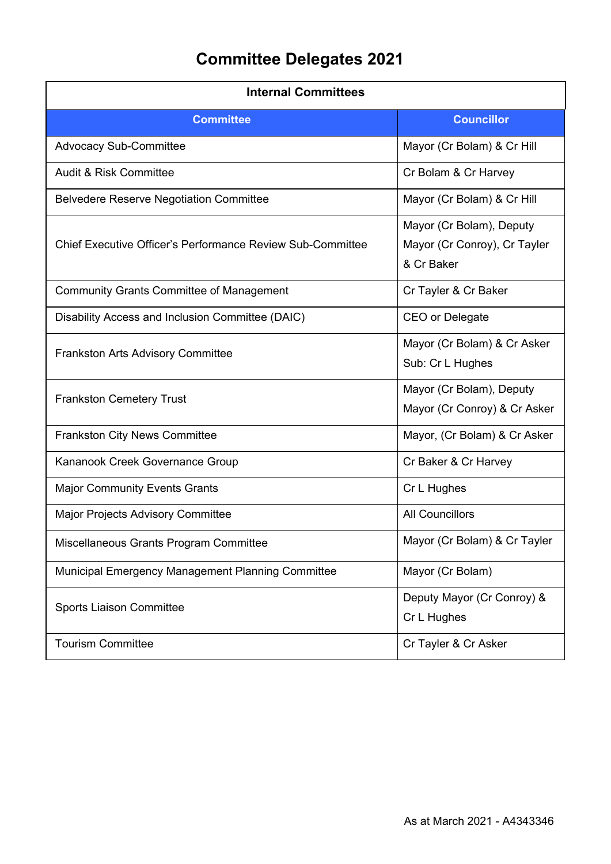## **Committee Delegates 2021**

| <b>Internal Committees</b>                                        |                                                                        |
|-------------------------------------------------------------------|------------------------------------------------------------------------|
| <b>Committee</b>                                                  | <b>Councillor</b>                                                      |
| <b>Advocacy Sub-Committee</b>                                     | Mayor (Cr Bolam) & Cr Hill                                             |
| <b>Audit &amp; Risk Committee</b>                                 | Cr Bolam & Cr Harvey                                                   |
| <b>Belvedere Reserve Negotiation Committee</b>                    | Mayor (Cr Bolam) & Cr Hill                                             |
| <b>Chief Executive Officer's Performance Review Sub-Committee</b> | Mayor (Cr Bolam), Deputy<br>Mayor (Cr Conroy), Cr Tayler<br>& Cr Baker |
| <b>Community Grants Committee of Management</b>                   | Cr Tayler & Cr Baker                                                   |
| Disability Access and Inclusion Committee (DAIC)                  | CEO or Delegate                                                        |
| <b>Frankston Arts Advisory Committee</b>                          | Mayor (Cr Bolam) & Cr Asker<br>Sub: Cr L Hughes                        |
| <b>Frankston Cemetery Trust</b>                                   | Mayor (Cr Bolam), Deputy<br>Mayor (Cr Conroy) & Cr Asker               |
| <b>Frankston City News Committee</b>                              | Mayor, (Cr Bolam) & Cr Asker                                           |
| Kananook Creek Governance Group                                   | Cr Baker & Cr Harvey                                                   |
| <b>Major Community Events Grants</b>                              | Cr L Hughes                                                            |
| <b>Major Projects Advisory Committee</b>                          | <b>All Councillors</b>                                                 |
| Miscellaneous Grants Program Committee                            | Mayor (Cr Bolam) & Cr Tayler                                           |
| Municipal Emergency Management Planning Committee                 | Mayor (Cr Bolam)                                                       |
| <b>Sports Liaison Committee</b>                                   | Deputy Mayor (Cr Conroy) &<br>Cr L Hughes                              |
| <b>Tourism Committee</b>                                          | Cr Tayler & Cr Asker                                                   |